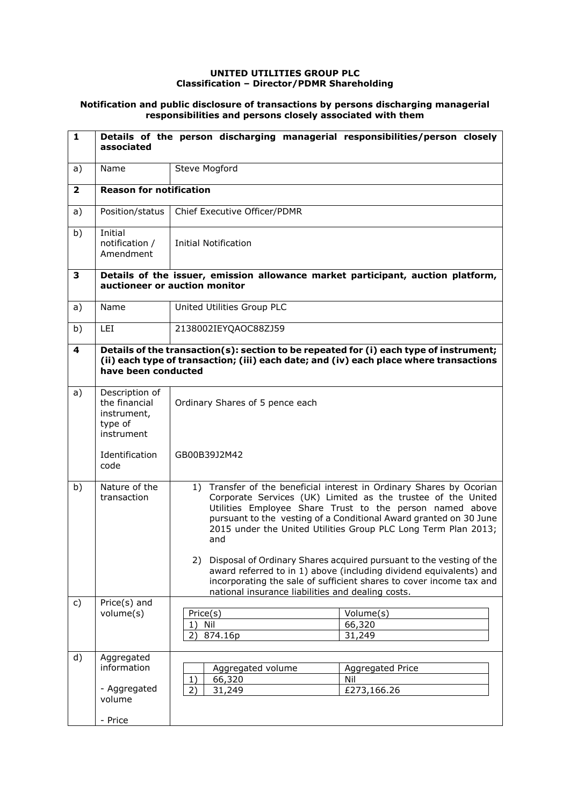## **UNITED UTILITIES GROUP PLC Classification – Director/PDMR Shareholding**

## **Notification and public disclosure of transactions by persons discharging managerial responsibilities and persons closely associated with them**

| 1                       | associated                                                              | Details of the person discharging managerial responsibilities/person closely                                                                                                                                                                                                                                                                   |                                        |  |  |
|-------------------------|-------------------------------------------------------------------------|------------------------------------------------------------------------------------------------------------------------------------------------------------------------------------------------------------------------------------------------------------------------------------------------------------------------------------------------|----------------------------------------|--|--|
| a)                      | Name                                                                    | Steve Mogford                                                                                                                                                                                                                                                                                                                                  |                                        |  |  |
| $\overline{\mathbf{2}}$ | <b>Reason for notification</b>                                          |                                                                                                                                                                                                                                                                                                                                                |                                        |  |  |
| a)                      | Position/status                                                         | Chief Executive Officer/PDMR                                                                                                                                                                                                                                                                                                                   |                                        |  |  |
| b)                      | Initial<br>notification /<br>Amendment                                  | <b>Initial Notification</b>                                                                                                                                                                                                                                                                                                                    |                                        |  |  |
| 3                       |                                                                         | Details of the issuer, emission allowance market participant, auction platform,<br>auctioneer or auction monitor                                                                                                                                                                                                                               |                                        |  |  |
| a)                      | Name                                                                    | United Utilities Group PLC                                                                                                                                                                                                                                                                                                                     |                                        |  |  |
| b)                      | <b>LEI</b>                                                              | 2138002IEYQAOC88ZJ59                                                                                                                                                                                                                                                                                                                           |                                        |  |  |
| $\overline{\mathbf{4}}$ |                                                                         | Details of the transaction(s): section to be repeated for (i) each type of instrument;<br>(ii) each type of transaction; (iii) each date; and (iv) each place where transactions<br>have been conducted                                                                                                                                        |                                        |  |  |
| a)                      | Description of<br>the financial<br>instrument,<br>type of<br>instrument | Ordinary Shares of 5 pence each                                                                                                                                                                                                                                                                                                                |                                        |  |  |
|                         | Identification<br>code                                                  | GB00B39J2M42                                                                                                                                                                                                                                                                                                                                   |                                        |  |  |
| b)                      | Nature of the<br>transaction                                            | 1) Transfer of the beneficial interest in Ordinary Shares by Ocorian<br>Corporate Services (UK) Limited as the trustee of the United<br>Utilities Employee Share Trust to the person named above<br>pursuant to the vesting of a Conditional Award granted on 30 June<br>2015 under the United Utilities Group PLC Long Term Plan 2013;<br>and |                                        |  |  |
|                         |                                                                         | 2)<br>Disposal of Ordinary Shares acquired pursuant to the vesting of the<br>award referred to in 1) above (including dividend equivalents) and<br>incorporating the sale of sufficient shares to cover income tax and<br>national insurance liabilities and dealing costs.                                                                    |                                        |  |  |
| c)                      | Price $(s)$ and<br>volume(s)                                            | Price(s)<br>Nil<br>1)<br>874.16p<br>2)                                                                                                                                                                                                                                                                                                         | Volume(s)<br>66,320<br>31,249          |  |  |
| d)                      | Aggregated<br>information<br>- Aggregated<br>volume<br>- Price          | Aggregated volume<br>66,320<br>1)<br>31,249<br>2)                                                                                                                                                                                                                                                                                              | Aggregated Price<br>Nil<br>£273,166.26 |  |  |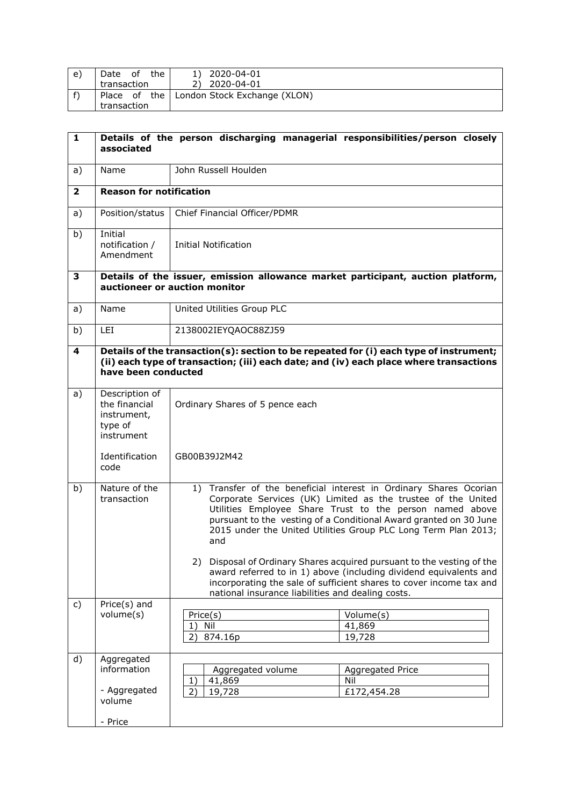| e) | the<br>Date<br>of | 2020-04-01                                  |
|----|-------------------|---------------------------------------------|
|    | transaction       | 2020-04-01                                  |
|    |                   | Place of the   London Stock Exchange (XLON) |
|    | transaction       |                                             |

| $\mathbf{1}$            | associated                                                                                                       | Details of the person discharging managerial responsibilities/person closely                                                                                                                                                                                                                                                                                                                                          |                         |  |  |
|-------------------------|------------------------------------------------------------------------------------------------------------------|-----------------------------------------------------------------------------------------------------------------------------------------------------------------------------------------------------------------------------------------------------------------------------------------------------------------------------------------------------------------------------------------------------------------------|-------------------------|--|--|
| a)                      | Name                                                                                                             | John Russell Houlden                                                                                                                                                                                                                                                                                                                                                                                                  |                         |  |  |
| $\overline{\mathbf{2}}$ | <b>Reason for notification</b>                                                                                   |                                                                                                                                                                                                                                                                                                                                                                                                                       |                         |  |  |
| a)                      | Position/status                                                                                                  | Chief Financial Officer/PDMR                                                                                                                                                                                                                                                                                                                                                                                          |                         |  |  |
| b)                      | Initial<br>notification /<br>Amendment                                                                           | Initial Notification                                                                                                                                                                                                                                                                                                                                                                                                  |                         |  |  |
| 3                       | Details of the issuer, emission allowance market participant, auction platform,<br>auctioneer or auction monitor |                                                                                                                                                                                                                                                                                                                                                                                                                       |                         |  |  |
| a)                      | Name                                                                                                             | United Utilities Group PLC                                                                                                                                                                                                                                                                                                                                                                                            |                         |  |  |
| b)                      | LEI                                                                                                              | 2138002IEYQAOC88ZJ59                                                                                                                                                                                                                                                                                                                                                                                                  |                         |  |  |
| 4                       |                                                                                                                  | Details of the transaction(s): section to be repeated for (i) each type of instrument;<br>(ii) each type of transaction; (iii) each date; and (iv) each place where transactions<br>have been conducted                                                                                                                                                                                                               |                         |  |  |
| a)                      | Description of<br>the financial<br>instrument,<br>type of<br>instrument                                          | Ordinary Shares of 5 pence each                                                                                                                                                                                                                                                                                                                                                                                       |                         |  |  |
|                         | Identification<br>code                                                                                           | GB00B39J2M42                                                                                                                                                                                                                                                                                                                                                                                                          |                         |  |  |
| b)                      | Nature of the<br>transaction                                                                                     | 1) Transfer of the beneficial interest in Ordinary Shares Ocorian<br>Corporate Services (UK) Limited as the trustee of the United<br>Utilities Employee Share Trust to the person named above<br>pursuant to the vesting of a Conditional Award granted on 30 June<br>2015 under the United Utilities Group PLC Long Term Plan 2013;<br>and<br>2) Disposal of Ordinary Shares acquired pursuant to the vesting of the |                         |  |  |
|                         |                                                                                                                  | award referred to in 1) above (including dividend equivalents and<br>incorporating the sale of sufficient shares to cover income tax and<br>national insurance liabilities and dealing costs.                                                                                                                                                                                                                         |                         |  |  |
| c)                      | Price(s) and<br>volume(s)                                                                                        | Price(s)<br>Volume(s)<br>Nil<br>41,869<br>1)<br>19,728<br>874.16p<br>2)                                                                                                                                                                                                                                                                                                                                               |                         |  |  |
| d)                      | Aggregated<br>information<br>- Aggregated<br>volume<br>- Price                                                   | Aggregated volume<br>41,869<br>Nil<br>1)<br>2)<br>19,728<br>£172,454.28                                                                                                                                                                                                                                                                                                                                               | <b>Aggregated Price</b> |  |  |